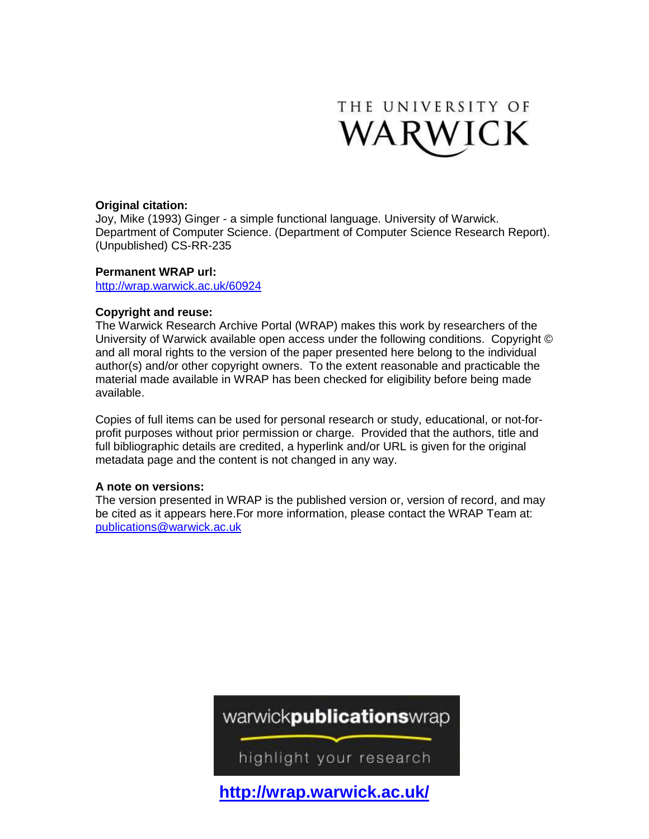

# **Original citation:**

Joy, Mike (1993) Ginger - a simple functional language. University of Warwick. Department of Computer Science. (Department of Computer Science Research Report). (Unpublished) CS-RR-235

# **Permanent WRAP url:**

<http://wrap.warwick.ac.uk/60924>

# **Copyright and reuse:**

The Warwick Research Archive Portal (WRAP) makes this work by researchers of the University of Warwick available open access under the following conditions. Copyright © and all moral rights to the version of the paper presented here belong to the individual author(s) and/or other copyright owners. To the extent reasonable and practicable the material made available in WRAP has been checked for eligibility before being made available.

Copies of full items can be used for personal research or study, educational, or not-forprofit purposes without prior permission or charge. Provided that the authors, title and full bibliographic details are credited, a hyperlink and/or URL is given for the original metadata page and the content is not changed in any way.

### **A note on versions:**

The version presented in WRAP is the published version or, version of record, and may be cited as it appears here.For more information, please contact the WRAP Team at: [publications@warwick.ac.uk](mailto:publications@warwick.ac.uk)

# warwickpublicationswrap

highlight your research

**<http://wrap.warwick.ac.uk/>**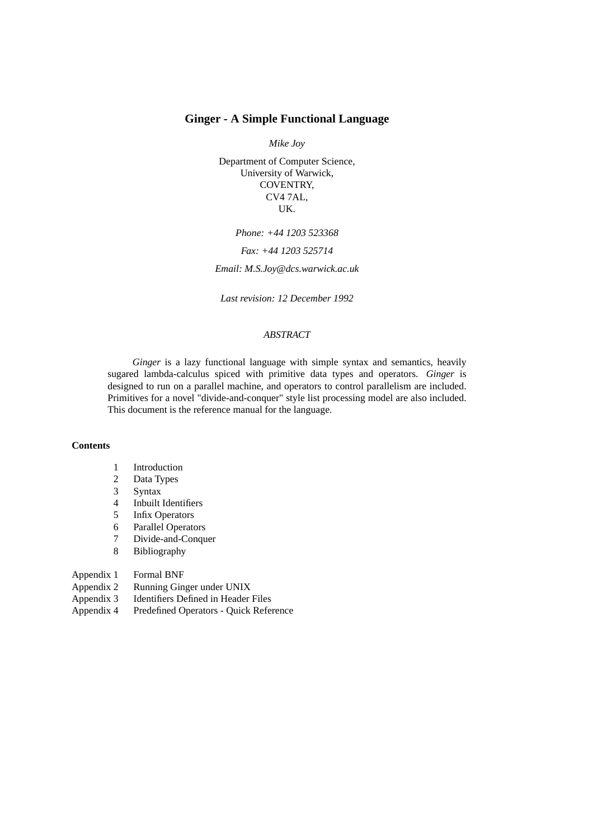# **Ginger - A Simple Functional Language**

*Mike Joy*

Department of Computer Science, University of Warwick, COVENTRY, CV4 7AL, UK.

*Phone: +44 1203 523368*

*Fax: +44 1203 525714*

*Email: M.S.Joy@dcs.warwick.ac.uk*

*Last revision: 12 December 1992*

# *ABSTRACT*

*Ginger* is a lazy functional language with simple syntax and semantics, heavily sugared lambda-calculus spiced with primitive data types and operators. *Ginger* is designed to run on a parallel machine, and operators to control parallelism are included. Primitives for a novel "divide-and-conquer" style list processing model are also included. This document is the reference manual for the language.

### **Contents**

- 1 Introduction
- 2 Data Types
- 3 Syntax
- 4 Inbuilt Identifiers
- 5 Infix Operators
- 6 Parallel Operators
- 7 Divide-and-Conquer
- 8 Bibliography

### Appendix 1 Formal BNF

- Appendix 2 Running Ginger under UNIX
- Appendix 3 Identifiers Defined in Header Files
- Appendix 4 Predefined Operators Quick Reference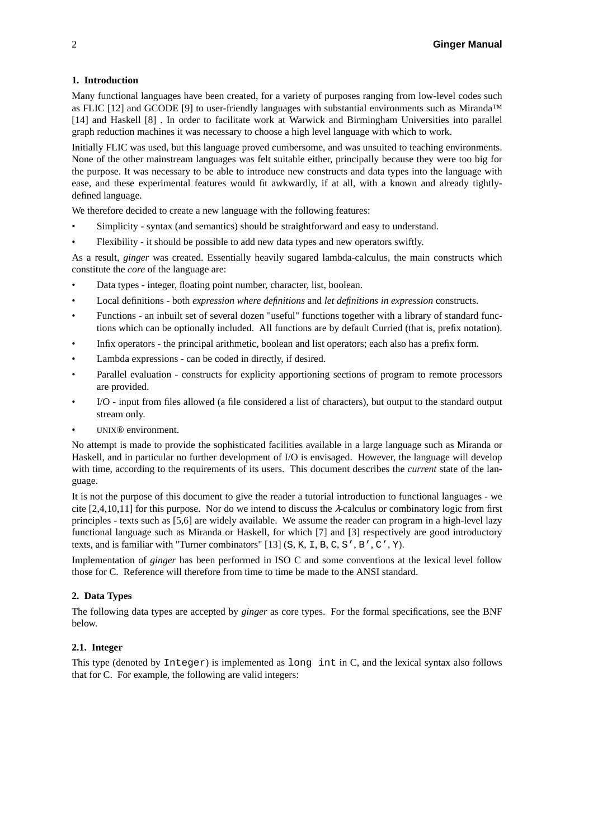### **1. Introduction**

Many functional languages have been created, for a variety of purposes ranging from low-level codes such as FLIC [12] and GCODE [9] to user-friendly languages with substantial environments such as Miranda™ [14] and Haskell [8] . In order to facilitate work at Warwick and Birmingham Universities into parallel graph reduction machines it was necessary to choose a high level language with which to work.

Initially FLIC was used, but this language proved cumbersome, and was unsuited to teaching environments. None of the other mainstream languages was felt suitable either, principally because they were too big for the purpose. It was necessary to be able to introduce new constructs and data types into the language with ease, and these experimental features would fit awkwardly, if at all, with a known and already tightlydefined language.

We therefore decided to create a new language with the following features:

- Simplicity syntax (and semantics) should be straightforward and easy to understand.
- Flexibility it should be possible to add new data types and new operators swiftly.

As a result, *ginger* was created. Essentially heavily sugared lambda-calculus, the main constructs which constitute the *core* of the language are:

- Data types integer, floating point number, character, list, boolean.
- Local definitions both *expression where definitions* and *let definitions in expression* constructs.
- Functions an inbuilt set of several dozen "useful" functions together with a library of standard functions which can be optionally included. All functions are by default Curried (that is, prefix notation).
- Infix operators the principal arithmetic, boolean and list operators; each also has a prefix form.
- Lambda expressions can be coded in directly, if desired.
- Parallel evaluation constructs for explicity apportioning sections of program to remote processors are provided.
- I/O input from files allowed (a file considered a list of characters), but output to the standard output stream only.
- UNIX® environment.

No attempt is made to provide the sophisticated facilities available in a large language such as Miranda or Haskell, and in particular no further development of I/O is envisaged. However, the language will develop with time, according to the requirements of its users. This document describes the *current* state of the language.

It is not the purpose of this document to give the reader a tutorial introduction to functional languages - we cite  $[2,4,10,11]$  for this purpose. Nor do we intend to discuss the  $\lambda$ -calculus or combinatory logic from first principles - texts such as [5,6] are widely available. We assume the reader can program in a high-level lazy functional language such as Miranda or Haskell, for which [7] and [3] respectively are good introductory texts, and is familiar with "Turner combinators" [13]  $(S, K, I, B, C, S', B', C', Y)$ .

Implementation of *ginger* has been performed in ISO C and some conventions at the lexical level follow those for C. Reference will therefore from time to time be made to the ANSI standard.

### **2. Data Types**

The following data types are accepted by *ginger* as core types. For the formal specifications, see the BNF below.

### **2.1. Integer**

This type (denoted by Integer) is implemented as long int in C, and the lexical syntax also follows that for C. For example, the following are valid integers: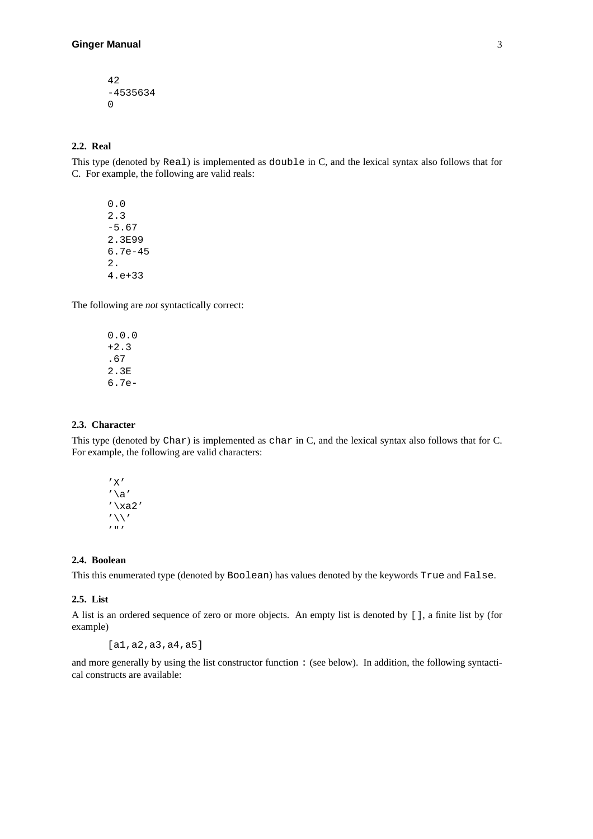42 -4535634 0

### **2.2. Real**

This type (denoted by Real) is implemented as double in C, and the lexical syntax also follows that for C. For example, the following are valid reals:

0.0 2.3 -5.67 2.3E99 6.7e-45 2. 4.e+33

The following are *not* syntactically correct:

0.0.0 +2.3 .67 2.3E 6.7e-

### **2.3. Character**

This type (denoted by Char) is implemented as char in C, and the lexical syntax also follows that for C. For example, the following are valid characters:

'X'  $'\setminus a'$  $'\$  $xa2'$  $' \setminus \setminus'$  $\overline{r}$  "

### **2.4. Boolean**

This this enumerated type (denoted by Boolean) has values denoted by the keywords True and False.

### **2.5. List**

A list is an ordered sequence of zero or more objects. An empty list is denoted by [], a finite list by (for example)

[a1,a2,a3,a4,a5]

and more generally by using the list constructor function : (see below). In addition, the following syntactical constructs are available: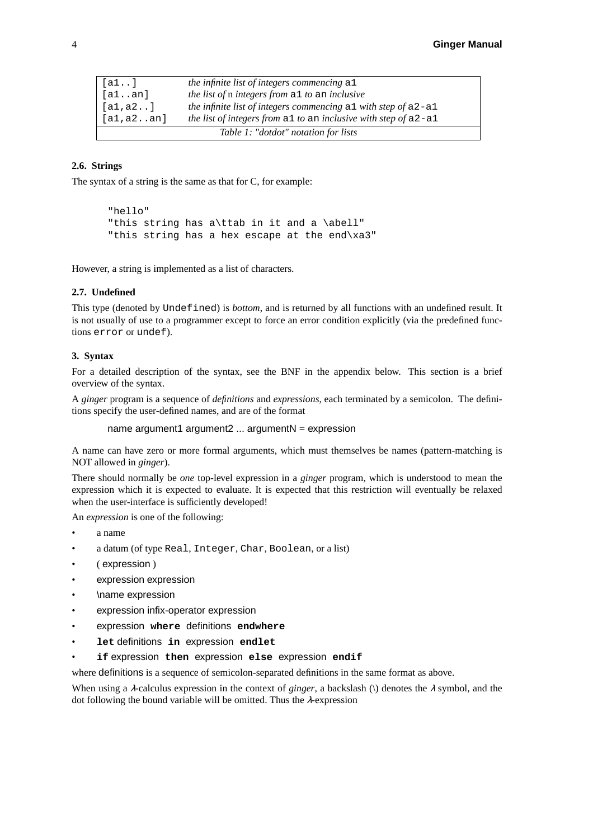| [a1]       | the infinite list of integers commencing all                       |
|------------|--------------------------------------------------------------------|
| [a1an]     | the list of n integers from all to an inclusive                    |
| [a1, a2]   | the infinite list of integers commencing $a1$ with step of $a2-a1$ |
| [a1, a2an] | the list of integers from all to an inclusive with step of $a2-a1$ |
|            | Table 1: "dotdot" notation for lists                               |

### **2.6. Strings**

The syntax of a string is the same as that for C, for example:

```
"hello"
"this string has a\ttab in it and a \abell"
"this string has a hex escape at the end\xa3"
```
However, a string is implemented as a list of characters.

#### **2.7. Undefined**

This type (denoted by Undefined) is *bottom*, and is returned by all functions with an undefined result. It is not usually of use to a programmer except to force an error condition explicitly (via the predefined functions error or undef).

### **3. Syntax**

For a detailed description of the syntax, see the BNF in the appendix below. This section is a brief overview of the syntax.

A *ginger* program is a sequence of *definitions* and *expressions*, each terminated by a semicolon. The definitions specify the user-defined names, and are of the format

```
name argument1 argument2 ... argumentN = expression
```
A name can have zero or more formal arguments, which must themselves be names (pattern-matching is NOT allowed in *ginger*).

There should normally be *one* top-level expression in a *ginger* program, which is understood to mean the expression which it is expected to evaluate. It is expected that this restriction will eventually be relaxed when the user-interface is sufficiently developed!

An *expression* is one of the following:

- a name
- a datum (of type Real, Integer, Char, Boolean, or a list)
- ( expression )
- expression expression
- \name expression
- expression infix-operator expression
- expression **where** definitions **endwhere**
- **let** definitions **in** expression **endlet**
- **if** expression **then** expression **else** expression **endif**

where definitions is a sequence of semicolon-separated definitions in the same format as above.

When using a  $\lambda$ -calculus expression in the context of *ginger*, a backslash (\) denotes the  $\lambda$  symbol, and the dot following the bound variable will be omitted. Thus the <sup>λ</sup>-expression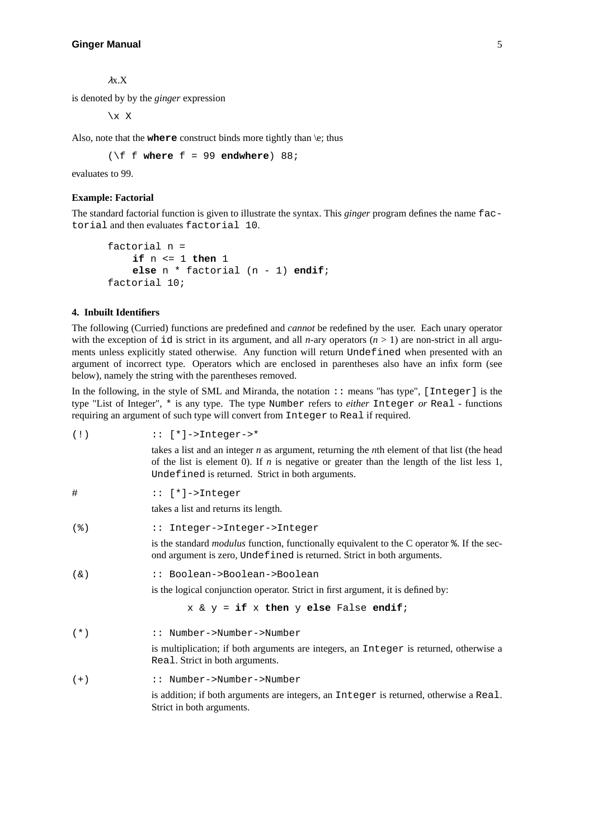<sup>λ</sup>x.X

is denoted by by the *ginger* expression

 $\chi$  X

Also, note that the **where** construct binds more tightly than \e; thus

 $(\forall f \text{ f where } f = 99 \text{ endwhere})$  88;

evaluates to 99.

#### **Example: Factorial**

The standard factorial function is given to illustrate the syntax. This *ginger* program defines the name factorial and then evaluates factorial 10.

```
factorial n =
    if n <= 1 then 1
    else n*factorial (n - 1) endif;
factorial 10;
```
### **4. Inbuilt Identifiers**

The following (Curried) functions are predefined and *cannot* be redefined by the user. Each unary operator with the exception of id is strict in its argument, and all *n*-ary operators  $(n > 1)$  are non-strict in all arguments unless explicitly stated otherwise. Any function will return Undefined when presented with an argument of incorrect type. Operators which are enclosed in parentheses also have an infix form (see below), namely the string with the parentheses removed.

In the following, in the style of SML and Miranda, the notation :: means "has type", [Integer] is the type "List of Integer", \* is any type. The type Number refers to *either* Integer *or* Real - functions requiring an argument of such type will convert from Integer to Real if required.

| (1)     | $::$ [*]->Integer->*                                                                                                                                                                                                                                |
|---------|-----------------------------------------------------------------------------------------------------------------------------------------------------------------------------------------------------------------------------------------------------|
|         | takes a list and an integer $n$ as argument, returning the $nth$ element of that list (the head<br>of the list is element 0). If $n$ is negative or greater than the length of the list less 1,<br>Undefined is returned. Strict in both arguments. |
| #       | $::$ [*]->Integer                                                                                                                                                                                                                                   |
|         | takes a list and returns its length.                                                                                                                                                                                                                |
| $($ $)$ | :: Integer->Integer->Integer                                                                                                                                                                                                                        |
|         | is the standard <i>modulus</i> function, functionally equivalent to the C operator $\epsilon$ . If the sec-<br>ond argument is zero, Undefined is returned. Strict in both arguments.                                                               |
| $(\&)$  | :: Boolean->Boolean->Boolean                                                                                                                                                                                                                        |
|         | is the logical conjunction operator. Strict in first argument, it is defined by:                                                                                                                                                                    |
|         | $x \& y = if x then y else False endif?$                                                                                                                                                                                                            |
| $(* )$  | :: Number->Number->Number                                                                                                                                                                                                                           |
|         | is multiplication; if both arguments are integers, an Integer is returned, otherwise a<br>Real. Strict in both arguments.                                                                                                                           |
| $(+)$   | :: Number->Number->Number                                                                                                                                                                                                                           |
|         | is addition; if both arguments are integers, an Integer is returned, otherwise a Real.<br>Strict in both arguments.                                                                                                                                 |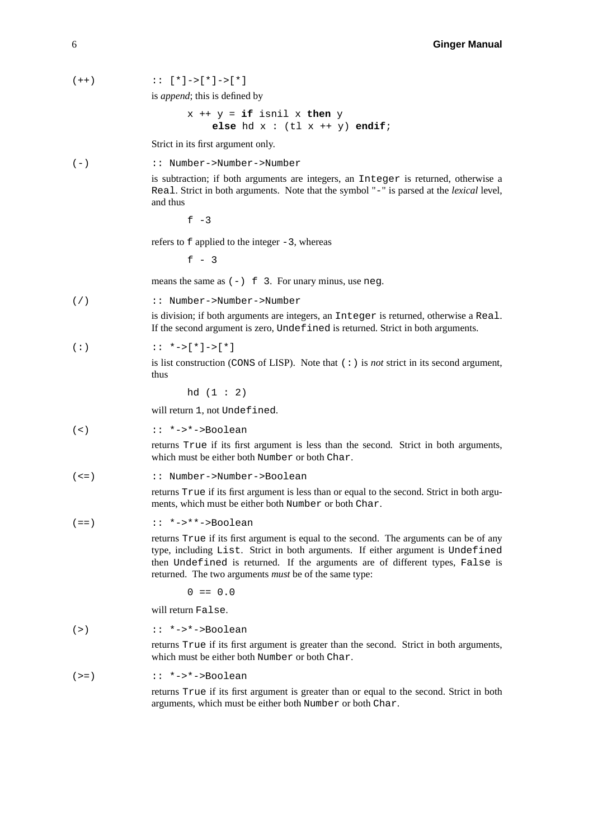$(++)$  ::  $[*]->[*]->[*]$ 

is *append*; this is defined by

 $x$  ++  $y$  = **if** isnil  $x$  **then**  $y$ **else** hd  $x : (t1 x ++ y)$  **endif**;

Strict in its first argument only.

(-) :: Number->Number->Number

is subtraction; if both arguments are integers, an Integer is returned, otherwise a Real. Strict in both arguments. Note that the symbol "-" is parsed at the *lexical* level, and thus

 $f - 3$ 

refers to f applied to the integer -3, whereas

 $f - 3$ 

means the same as  $(-)$  f 3. For unary minus, use neg.

(/) :: Number->Number->Number

is division; if both arguments are integers, an Integer is returned, otherwise a Real. If the second argument is zero, Undefined is returned. Strict in both arguments.

$$
(\; : \; ) \qquad \qquad : \; : \; *->[*] \; ->[*] \; \; * \; ]
$$

is list construction (CONS of LISP). Note that (:) is *not* strict in its second argument, thus

hd (1 : 2)

will return 1, not Undefined.

(<)  $: *->*->Boolean$ 

returns True if its first argument is less than the second. Strict in both arguments, which must be either both Number or both Char.

(<=) :: Number->Number->Boolean

returns True if its first argument is less than or equal to the second. Strict in both arguments, which must be either both Number or both Char.

$$
(:=*)\qquad :: *->**->\text{Boolean}
$$

returns True if its first argument is equal to the second. The arguments can be of any type, including List. Strict in both arguments. If either argument is Undefined then Undefined is returned. If the arguments are of different types, False is returned. The two arguments *must* be of the same type:

 $0 = 0.0$ 

will return False.

$$
(: \ast - > \ast - > \text{Boolean}
$$

returns True if its first argument is greater than the second. Strict in both arguments, which must be either both Number or both Char.

$$
(:=)\qquad :: *->*->Boolean
$$

returns True if its first argument is greater than or equal to the second. Strict in both arguments, which must be either both Number or both Char.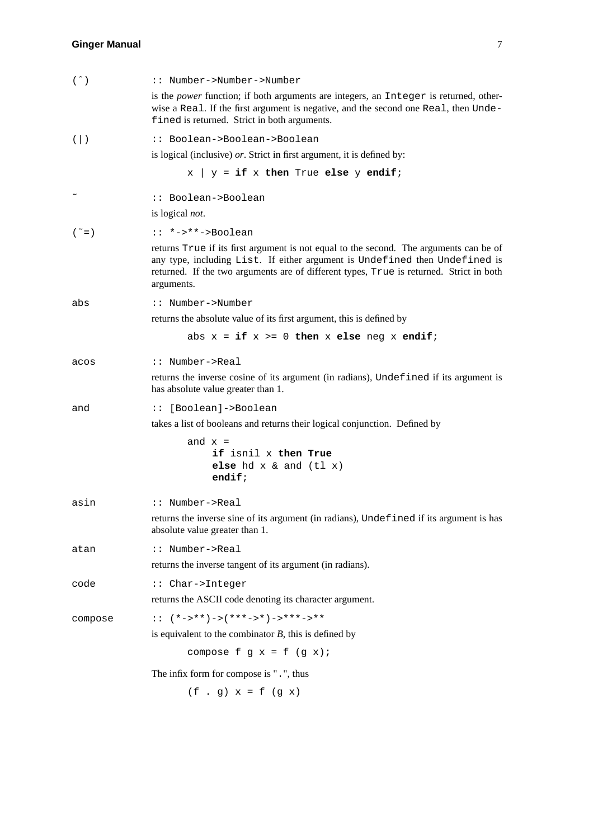| $( \hat{\ })$       | :: Number->Number->Number                                                                                                                                                                                                                                                      |
|---------------------|--------------------------------------------------------------------------------------------------------------------------------------------------------------------------------------------------------------------------------------------------------------------------------|
|                     | is the power function; if both arguments are integers, an Integer is returned, other-<br>wise a Real. If the first argument is negative, and the second one Real, then Unde-<br>fined is returned. Strict in both arguments.                                                   |
| $($ $ $ $)$         | :: Boolean->Boolean->Boolean                                                                                                                                                                                                                                                   |
|                     | is logical (inclusive) $or$ . Strict in first argument, it is defined by:                                                                                                                                                                                                      |
|                     | $x \mid y = \textbf{if} x \textbf{ then True} \textbf{ else } y \textbf{ endif}$                                                                                                                                                                                               |
|                     | :: Boolean->Boolean                                                                                                                                                                                                                                                            |
|                     | is logical not.                                                                                                                                                                                                                                                                |
| $(\tilde{\ }$ = $)$ | $: *-> * *->Boolean$                                                                                                                                                                                                                                                           |
|                     | returns True if its first argument is not equal to the second. The arguments can be of<br>any type, including List. If either argument is Undefined then Undefined is<br>returned. If the two arguments are of different types, True is returned. Strict in both<br>arguments. |
| abs                 | :: Number->Number                                                                                                                                                                                                                                                              |
|                     | returns the absolute value of its first argument, this is defined by                                                                                                                                                                                                           |
|                     | abs $x = if x > = 0$ then x else neg x endif;                                                                                                                                                                                                                                  |
| acos                | :: Number->Real                                                                                                                                                                                                                                                                |
|                     | returns the inverse cosine of its argument (in radians), Undefined if its argument is<br>has absolute value greater than 1.                                                                                                                                                    |
| and                 | :: [Boolean]->Boolean                                                                                                                                                                                                                                                          |
|                     | takes a list of booleans and returns their logical conjunction. Defined by                                                                                                                                                                                                     |
|                     | and $x =$<br>if isnil x then True<br>else hd $x \& and (t1 x)$<br>$endif$ ;                                                                                                                                                                                                    |
| asin                | :: Number->Real                                                                                                                                                                                                                                                                |
|                     | returns the inverse sine of its argument (in radians), Undefined if its argument is has<br>absolute value greater than 1.                                                                                                                                                      |
| atan                | :: Number->Real                                                                                                                                                                                                                                                                |
|                     | returns the inverse tangent of its argument (in radians).                                                                                                                                                                                                                      |
| code                | :: Char->Integer                                                                                                                                                                                                                                                               |
|                     | returns the ASCII code denoting its character argument.                                                                                                                                                                                                                        |
| compose             | $\therefore$ $(*->**")->(***->*)->***--**$                                                                                                                                                                                                                                     |
|                     | is equivalent to the combinator $B$ , this is defined by                                                                                                                                                                                                                       |
|                     | compose $f$ $g$ $x = f$ $(g x)$ ;                                                                                                                                                                                                                                              |
|                     | The infix form for compose is ".", thus                                                                                                                                                                                                                                        |
|                     | $(f g) x = f (g x)$                                                                                                                                                                                                                                                            |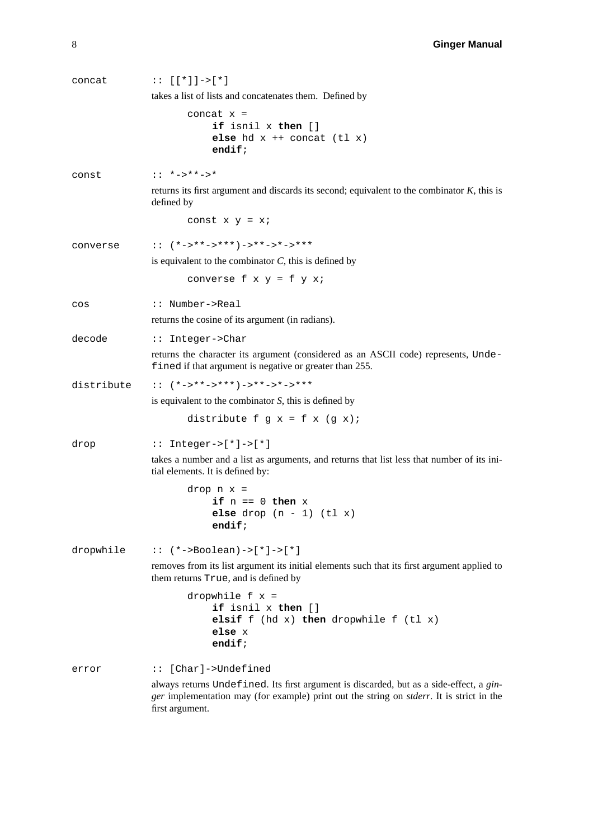| concat     | $:: [[*]]->[*]$                                                                                                                                                                                                |
|------------|----------------------------------------------------------------------------------------------------------------------------------------------------------------------------------------------------------------|
|            | takes a list of lists and concatenates them. Defined by                                                                                                                                                        |
|            | concat $x =$<br>if isnil x then []<br>else hd $x +$ concat (tl $x$ )<br>endif;                                                                                                                                 |
| const      | $: : *-> * * - > *$                                                                                                                                                                                            |
|            | returns its first argument and discards its second; equivalent to the combinator $K$ , this is<br>defined by                                                                                                   |
|            | const $x y = x i$                                                                                                                                                                                              |
| converse   | :: $(*->***->***")->**->*->*-*"$                                                                                                                                                                               |
|            | is equivalent to the combinator $C$ , this is defined by                                                                                                                                                       |
|            | converse $f \times y = f \times x$                                                                                                                                                                             |
| $\cos$     | :: Number->Real                                                                                                                                                                                                |
|            | returns the cosine of its argument (in radians).                                                                                                                                                               |
| decode     | :: Integer->Char                                                                                                                                                                                               |
|            | returns the character its argument (considered as an ASCII code) represents, Unde-<br>fined if that argument is negative or greater than 255.                                                                  |
| distribute | :: $(*->**->***")->**->*->*->***$                                                                                                                                                                              |
|            | is equivalent to the combinator $S$ , this is defined by                                                                                                                                                       |
|            | distribute $f g x = f x (g x)$ ;                                                                                                                                                                               |
| drop       | $::$ Integer->[*]->[*]                                                                                                                                                                                         |
|            | takes a number and a list as arguments, and returns that list less that number of its ini-<br>tial elements. It is defined by:                                                                                 |
|            | drop $n x =$<br>if $n == 0$ then $x$<br>else drop $(n - 1)$ (tl x)<br>endif;                                                                                                                                   |
| dropwhile  | $::$ (*->Boolean)->[*]->[*]                                                                                                                                                                                    |
|            | removes from its list argument its initial elements such that its first argument applied to<br>them returns True, and is defined by                                                                            |
|            | dropwhile $f x =$<br>if isnil x then []<br>elsif $f$ (hd $x$ ) then dropwhile $f$ (tl $x$ )<br>else x<br>endif;                                                                                                |
| error      | :: [Char]->Undefined                                                                                                                                                                                           |
|            | always returns Undefined. Its first argument is discarded, but as a side-effect, a gin-<br>ger implementation may (for example) print out the string on <i>stderr</i> . It is strict in the<br>first argument. |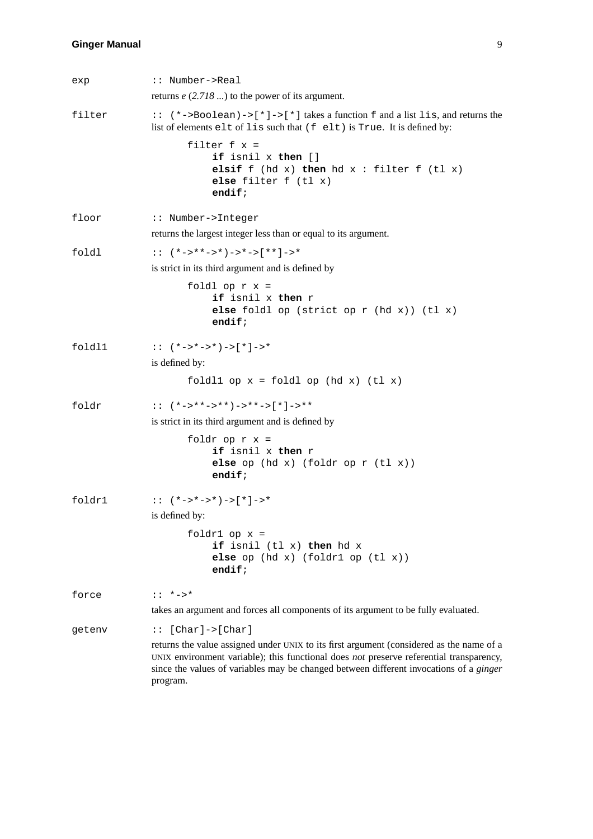| exp    | :: Number->Real                                                                                                                                                                                                                                                                           |
|--------|-------------------------------------------------------------------------------------------------------------------------------------------------------------------------------------------------------------------------------------------------------------------------------------------|
|        | returns $e$ (2.718) to the power of its argument.                                                                                                                                                                                                                                         |
| filter | :: (*->Boolean)->[*]->[*] takes a function f and a list lis, and returns the<br>list of elements elt of lis such that (f elt) is True. It is defined by:                                                                                                                                  |
|        | filter $f x =$<br><b>if</b> isnil x then []<br>elsif $f$ (hd $x$ ) then hd $x$ : filter $f$ (tl $x$ )<br>else filter $f(t1 x)$<br>endif;                                                                                                                                                  |
| floor  | :: Number->Integer                                                                                                                                                                                                                                                                        |
|        | returns the largest integer less than or equal to its argument.                                                                                                                                                                                                                           |
| foldl  | :: $(*->**->*)->*->[**]->*$                                                                                                                                                                                                                                                               |
|        | is strict in its third argument and is defined by                                                                                                                                                                                                                                         |
|        | foldl op $r x =$<br>if isnil x then r<br>else foldl op (strict op $r$ (hd $x$ )) (tl $x$ )<br>$endif$ ;                                                                                                                                                                                   |
| fold11 | :: $(*->*->*)->[*]->*$                                                                                                                                                                                                                                                                    |
|        | is defined by:                                                                                                                                                                                                                                                                            |
|        | foldl $1$ op $x =$ foldl op (hd $x$ ) (tl $x$ )                                                                                                                                                                                                                                           |
| foldr  | :: $(*->**->**")->**->[*]->**"$                                                                                                                                                                                                                                                           |
|        | is strict in its third argument and is defined by                                                                                                                                                                                                                                         |
|        | foldr op $r x =$<br>if isnil x then r<br>else op $(hd x)$ (foldr op $r$ $(tl x)$ )<br>endif;                                                                                                                                                                                              |
| foldr1 | :: $(*->*->*)->[*]->*$                                                                                                                                                                                                                                                                    |
|        | is defined by:                                                                                                                                                                                                                                                                            |
|        | foldr $1$ op $x =$<br>if isnil (tl x) then hd x<br>else op $(hd x)$ (foldr1 op $(tl x)$ )<br>endif;                                                                                                                                                                                       |
| force  | $: : *_{->} *$                                                                                                                                                                                                                                                                            |
|        | takes an argument and forces all components of its argument to be fully evaluated.                                                                                                                                                                                                        |
| qetenv | $::$ [Char]->[Char]                                                                                                                                                                                                                                                                       |
|        | returns the value assigned under UNIX to its first argument (considered as the name of a<br>UNIX environment variable); this functional does not preserve referential transparency,<br>since the values of variables may be changed between different invocations of a ginger<br>program. |
|        |                                                                                                                                                                                                                                                                                           |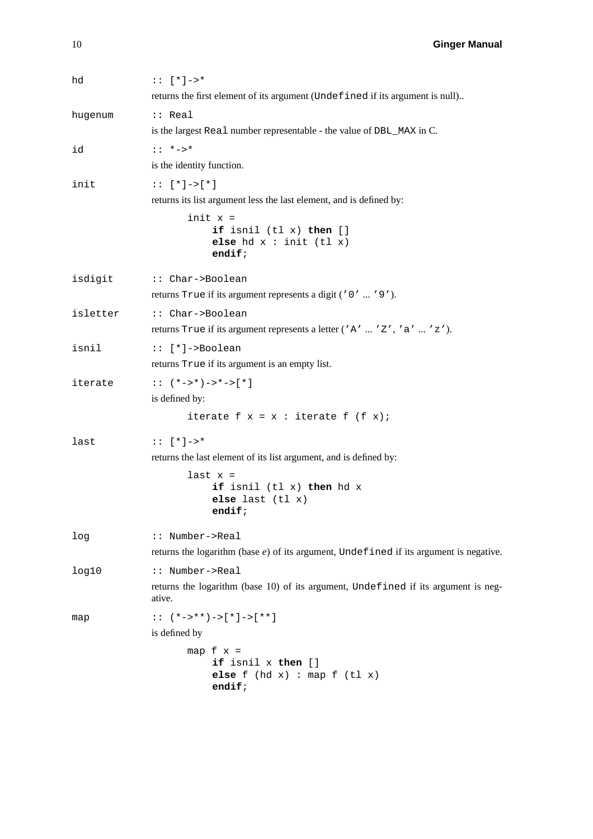| hd       | $: : [ * ] -> *$<br>returns the first element of its argument (Undefined if its argument is null)                                         |
|----------|-------------------------------------------------------------------------------------------------------------------------------------------|
| hugenum  | $:$ Real<br>is the largest Real number representable - the value of DBL_MAX in C.                                                         |
| id       | $: : *_{->} *$<br>is the identity function.                                                                                               |
| init     | $: : [ * ] - > [ * ]$<br>returns its list argument less the last element, and is defined by:<br>$init x =$<br>if isnil $(tl x)$ then $[]$ |
|          | else $hd x : init (tl x)$<br>endif;                                                                                                       |
| isdigit  | :: Char->Boolean<br>returns True if its argument represents a digit ('0'  '9').                                                           |
| isletter | :: Char->Boolean<br>returns True if its argument represents a letter ('A'  'Z', 'a'  'z').                                                |
| isnil    | $::$ [*]->Boolean<br>returns True if its argument is an empty list.                                                                       |
| iterate  | $: ( *-> * )-> *-> [ * ]$<br>is defined by:                                                                                               |
|          | iterate $f x = x : iterate f (f x);$                                                                                                      |
| last     | $: : [ * ] -> *$<br>returns the last element of its list argument, and is defined by:                                                     |
|          | last $x =$<br>if isnil (tl x) then hd x<br>else last $(tl x)$<br>endif;                                                                   |
| log      | :: Number->Real<br>returns the logarithm (base $e$ ) of its argument, Undefined if its argument is negative.                              |
| log10    | :: Number->Real<br>returns the logarithm (base 10) of its argument, Undefined if its argument is neg-<br>ative.                           |
| map      | : : $(*->**")->[*']->[**]$<br>is defined by                                                                                               |
|          | map $f \times =$<br>if isnil x then []<br>else $f$ (hd $x$ ) : map $f$ (tl $x$ )<br>endif;                                                |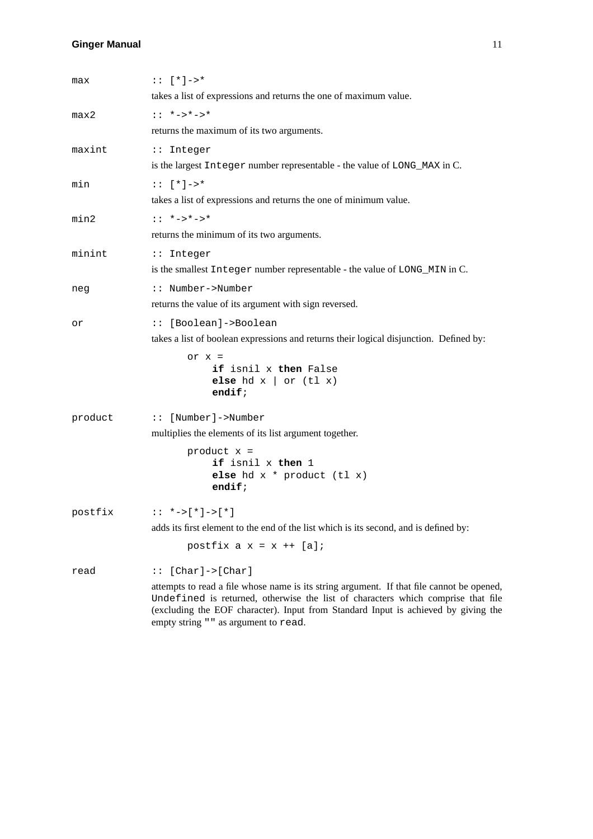| max     | $: : [ * ] -> *$                                                                                                                                                                                                                                                                                             |
|---------|--------------------------------------------------------------------------------------------------------------------------------------------------------------------------------------------------------------------------------------------------------------------------------------------------------------|
|         | takes a list of expressions and returns the one of maximum value.                                                                                                                                                                                                                                            |
| max2    | $: : *-> *-> *$                                                                                                                                                                                                                                                                                              |
|         | returns the maximum of its two arguments.                                                                                                                                                                                                                                                                    |
| maxint  | :: Integer                                                                                                                                                                                                                                                                                                   |
|         | is the largest Integer number representable - the value of LONG_MAX in C.                                                                                                                                                                                                                                    |
| min     | $: : [ * ] -> *$                                                                                                                                                                                                                                                                                             |
|         | takes a list of expressions and returns the one of minimum value.                                                                                                                                                                                                                                            |
| min2    | $: : *-> *-> *$                                                                                                                                                                                                                                                                                              |
|         | returns the minimum of its two arguments.                                                                                                                                                                                                                                                                    |
| minint  | :: Integer                                                                                                                                                                                                                                                                                                   |
|         | is the smallest Integer number representable - the value of LONG_MIN in C.                                                                                                                                                                                                                                   |
| neg     | :: Number->Number                                                                                                                                                                                                                                                                                            |
|         | returns the value of its argument with sign reversed.                                                                                                                                                                                                                                                        |
| or      | :: [Boolean]->Boolean                                                                                                                                                                                                                                                                                        |
|         | takes a list of boolean expressions and returns their logical disjunction. Defined by:                                                                                                                                                                                                                       |
|         | or $x =$<br>if isnil x then False<br>else hd $x \mid or (t1 x)$<br>$endif$ ;                                                                                                                                                                                                                                 |
| product | :: [Number]->Number                                                                                                                                                                                                                                                                                          |
|         | multiplies the elements of its list argument together.                                                                                                                                                                                                                                                       |
|         | product $x =$<br>if isnil x then 1<br>else hd $x * product (tl x)$<br>endif;                                                                                                                                                                                                                                 |
| postfix | $: : *->[ * ]->[ * ]$                                                                                                                                                                                                                                                                                        |
|         | adds its first element to the end of the list which is its second, and is defined by:                                                                                                                                                                                                                        |
|         | postfix $a x = x + [a]$                                                                                                                                                                                                                                                                                      |
| read    | $[Char] \rightarrow [Char]$<br>: :                                                                                                                                                                                                                                                                           |
|         | attempts to read a file whose name is its string argument. If that file cannot be opened,<br>Undefined is returned, otherwise the list of characters which comprise that file<br>(excluding the EOF character). Input from Standard Input is achieved by giving the<br>empty string " " as argument to read. |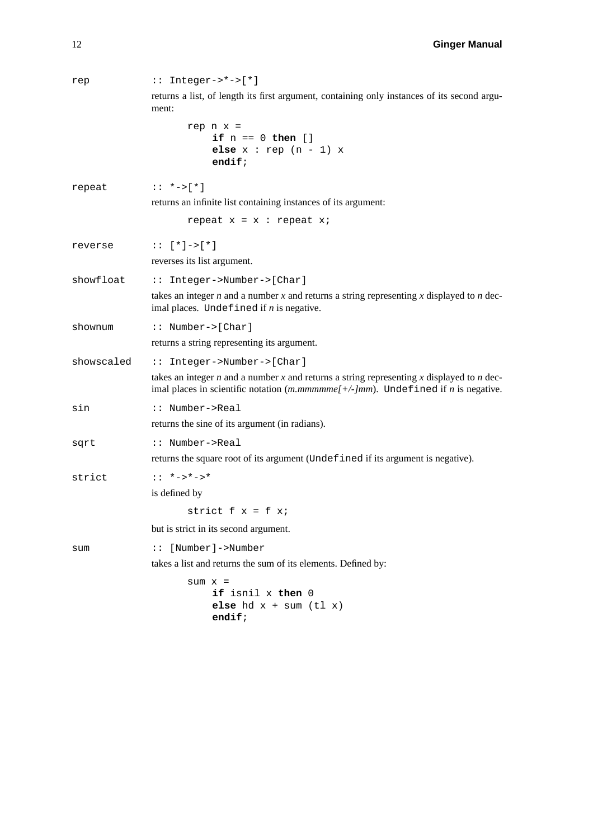| rep        | $::$ Integer->*->[*]                                                                                                                                                                             |
|------------|--------------------------------------------------------------------------------------------------------------------------------------------------------------------------------------------------|
|            | returns a list, of length its first argument, containing only instances of its second argu-<br>ment:                                                                                             |
|            | rep $n \times z$<br>if $n == 0$ then []<br>else $x : rep(n - 1) x$<br>endif;                                                                                                                     |
| repeat     | $: : *->[ * ]$                                                                                                                                                                                   |
|            | returns an infinite list containing instances of its argument:                                                                                                                                   |
|            | repeat $x = x :$ repeat $xi$                                                                                                                                                                     |
| reverse    | $: : [ * ] - > [ * ]$                                                                                                                                                                            |
|            | reverses its list argument.                                                                                                                                                                      |
| showfloat  | :: Integer->Number->[Char]                                                                                                                                                                       |
|            | takes an integer $n$ and a number $x$ and returns a string representing $x$ displayed to $n$ dec-<br>imal places. Undefined if $n$ is negative.                                                  |
| shownum    | :: $Number->[Char]$                                                                                                                                                                              |
|            | returns a string representing its argument.                                                                                                                                                      |
| showscaled | :: Integer->Number->[Char]                                                                                                                                                                       |
|            | takes an integer $n$ and a number $x$ and returns a string representing $x$ displayed to $n$ dec-<br>imal places in scientific notation $(m.mmmmm [+/-]mm)$ . Undefined if <i>n</i> is negative. |
| sin        | :: Number->Real                                                                                                                                                                                  |
|            | returns the sine of its argument (in radians).                                                                                                                                                   |
| sqrt       | :: Number->Real                                                                                                                                                                                  |
|            | returns the square root of its argument (Undefined if its argument is negative).                                                                                                                 |
| strict     | $: : *->*->*$                                                                                                                                                                                    |
|            | is defined by                                                                                                                                                                                    |
|            | strict $f x = f x$ ;                                                                                                                                                                             |
|            | but is strict in its second argument.                                                                                                                                                            |
| sum        | [Number]->Number<br>$\vdots$                                                                                                                                                                     |
|            | takes a list and returns the sum of its elements. Defined by:                                                                                                                                    |
|            | $sum x =$<br>if isnil x then 0<br>else hd $x + sum (t1 x)$<br>endif;                                                                                                                             |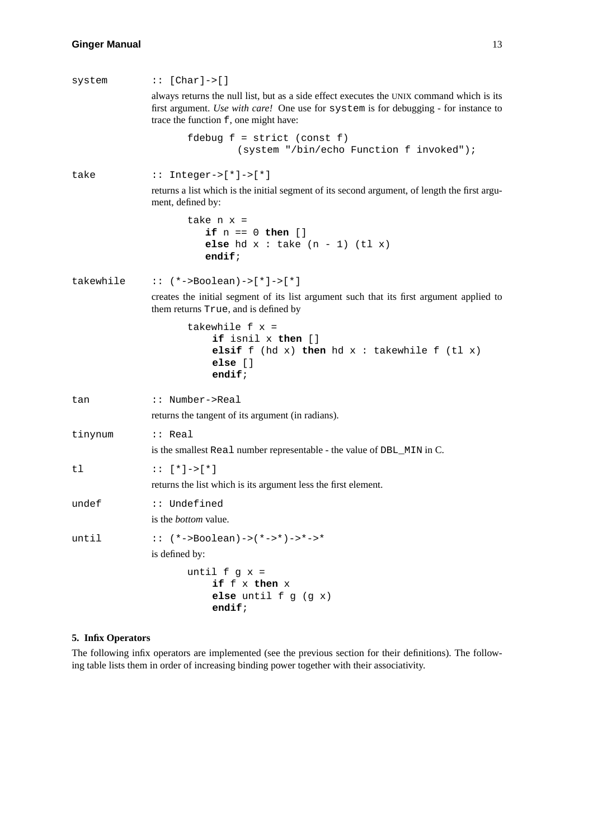| system    | $::$ [Char]->[]                                                                                                                                                                                                            |
|-----------|----------------------------------------------------------------------------------------------------------------------------------------------------------------------------------------------------------------------------|
|           | always returns the null list, but as a side effect executes the UNIX command which is its<br>first argument. Use with care! One use for system is for debugging - for instance to<br>trace the function f, one might have: |
|           | fdebug $f = \text{strict} (\text{const } f)$<br>(system "/bin/echo Function f invoked");                                                                                                                                   |
| take      | $::$ Integer->[*]->[*]                                                                                                                                                                                                     |
|           | returns a list which is the initial segment of its second argument, of length the first argu-<br>ment, defined by:                                                                                                         |
|           | take $n \times z$<br>if $n == 0$ then []<br>else hd $x : take (n - 1) (tl x)$<br>$endif$ ;                                                                                                                                 |
| takewhile | $::$ (*->Boolean)->[*]->[*]                                                                                                                                                                                                |
|           | creates the initial segment of its list argument such that its first argument applied to<br>them returns True, and is defined by                                                                                           |
|           | takewhile $f x =$<br>if isnil x then []<br>elsif $f$ (hd $x$ ) then hd $x$ : takewhile $f$ (tl $x$ )<br>else []<br>endif;                                                                                                  |
| tan       | :: Number->Real                                                                                                                                                                                                            |
|           | returns the tangent of its argument (in radians).                                                                                                                                                                          |
| tinynum   | $::$ Real<br>is the smallest Real number representable - the value of DBL_MIN in C.                                                                                                                                        |
| tl        | $: : [' * ]-> [' * ]$<br>returns the list which is its argument less the first element.                                                                                                                                    |
| undef     | :: Undefined                                                                                                                                                                                                               |
|           | is the <i>bottom</i> value.                                                                                                                                                                                                |
| until     | $\because$ (*->Boolean)->(*->*)->*->*                                                                                                                                                                                      |
|           | is defined by:                                                                                                                                                                                                             |
|           | until $f$ $g$ $x$ =<br>if f x then x<br>else until $f$ $g$ $(g x)$<br>endif;                                                                                                                                               |

# **5. Infix Operators**

The following infix operators are implemented (see the previous section for their definitions). The following table lists them in order of increasing binding power together with their associativity.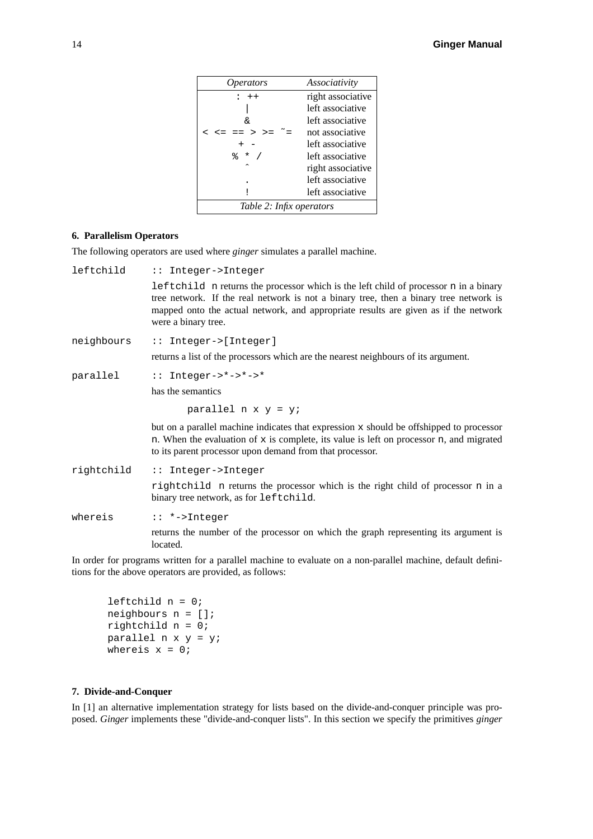| <i>Operators</i>         | Associativity     |
|--------------------------|-------------------|
| $: + +$                  | right associative |
|                          | left associative  |
| ୷                        | left associative  |
|                          | not associative   |
|                          | left associative  |
| ⊱<br>$\star$ /           | left associative  |
| ́                        | right associative |
|                          | left associative  |
|                          | left associative  |
| Table 2: Infix operators |                   |

# **6. Parallelism Operators**

The following operators are used where *ginger* simulates a parallel machine.

| leftchild  | :: Integer->Integer                                                                                                                                                                                                                                                                         |
|------------|---------------------------------------------------------------------------------------------------------------------------------------------------------------------------------------------------------------------------------------------------------------------------------------------|
|            | leftchild n returns the processor which is the left child of processor n in a binary<br>tree network. If the real network is not a binary tree, then a binary tree network is<br>mapped onto the actual network, and appropriate results are given as if the network<br>were a binary tree. |
| neighbours | $::$ Integer->[Integer]                                                                                                                                                                                                                                                                     |
|            | returns a list of the processors which are the nearest neighbours of its argument.                                                                                                                                                                                                          |
| parallel   | $: :$ Integer->*->*->*                                                                                                                                                                                                                                                                      |
|            | has the semantics                                                                                                                                                                                                                                                                           |
|            | parallel $n \times y = yi$                                                                                                                                                                                                                                                                  |
|            | but on a parallel machine indicates that expression $x$ should be offshipped to processor<br>n. When the evaluation of $x$ is complete, its value is left on processor n, and migrated<br>to its parent processor upon demand from that processor.                                          |
| rightchild | :: Integer->Integer                                                                                                                                                                                                                                                                         |
|            | rightchild n returns the processor which is the right child of processor n in a<br>binary tree network, as for leftchild.                                                                                                                                                                   |
| whereis    | :: *->Integer                                                                                                                                                                                                                                                                               |
|            | returns the number of the processor on which the graph representing its argument is<br>located.                                                                                                                                                                                             |

In order for programs written for a parallel machine to evaluate on a non-parallel machine, default definitions for the above operators are provided, as follows:

leftchild n = 0; neighbours n = []; rightchild n = 0; parallel  $n \times y = yi$ whereis  $x = 0$ ;

# **7. Divide-and-Conquer**

In [1] an alternative implementation strategy for lists based on the divide-and-conquer principle was proposed. *Ginger* implements these "divide-and-conquer lists". In this section we specify the primitives *ginger*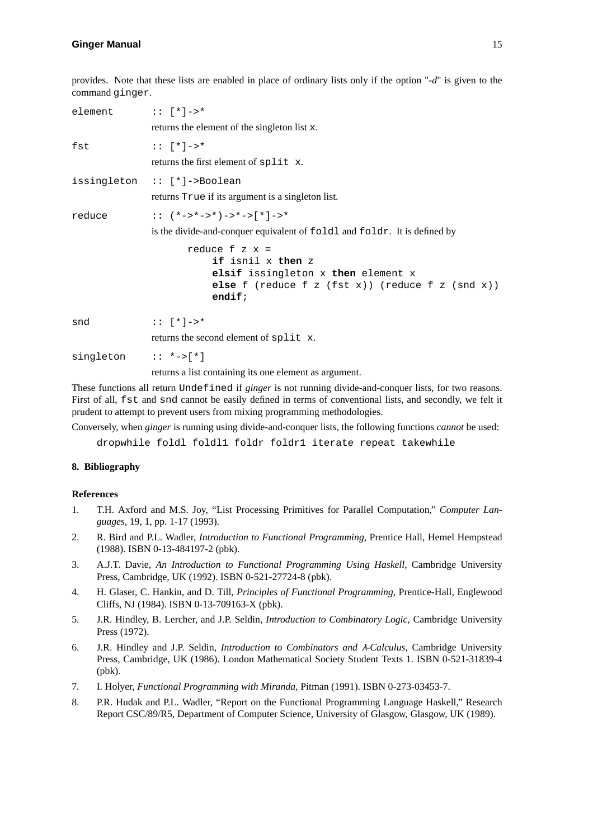provides. Note that these lists are enabled in place of ordinary lists only if the option "*-d*" is given to the command ginger.

| element :: $[ * ] \rightarrow *$ |                                                                                                                                                                        |
|----------------------------------|------------------------------------------------------------------------------------------------------------------------------------------------------------------------|
|                                  | returns the element of the singleton list x.                                                                                                                           |
| fst                              | $: : \lceil * \rceil - > *$                                                                                                                                            |
|                                  | returns the first element of split x.                                                                                                                                  |
|                                  | issingleton :: [*]->Boolean                                                                                                                                            |
|                                  | returns True if its argument is a singleton list.                                                                                                                      |
| reduce                           | :: $(*->*-->*)->*->[*]-->*$                                                                                                                                            |
|                                  | is the divide-and-conquer equivalent of foldl and foldr. It is defined by                                                                                              |
|                                  | reduce $f \times x =$<br>if isnil x then z<br>elsif issingleton x then element x<br>else $f$ (reduce $f$ $z$ ( $f$ st $x$ )) (reduce $f$ $z$ ( $s$ nd $x$ ))<br>endif; |
| snd                              | $: : \lceil * \rceil - > *$                                                                                                                                            |
|                                  | returns the second element of split x.                                                                                                                                 |
| singleton $: *->[*]$             |                                                                                                                                                                        |
|                                  | returns a list containing its one element as argument.                                                                                                                 |

These functions all return Undefined if *ginger* is not running divide-and-conquer lists, for two reasons. First of all, fst and snd cannot be easily defined in terms of conventional lists, and secondly, we felt it prudent to attempt to prevent users from mixing programming methodologies.

Conversely, when *ginger* is running using divide-and-conquer lists, the following functions *cannot* be used:

dropwhile foldl foldl1 foldr foldr1 iterate repeat takewhile

#### **8. Bibliography**

#### **References**

- 1. T.H. Axford and M.S. Joy, "List Processing Primitives for Parallel Computation," *Computer Languages,* 19, 1, pp. 1-17 (1993).
- 2. R. Bird and P.L. Wadler, *Introduction to Functional Programming,* Prentice Hall, Hemel Hempstead (1988). ISBN 0-13-484197-2 (pbk).
- 3. A.J.T. Davie, *An Introduction to Functional Programming Using Haskell,* Cambridge University Press, Cambridge, UK (1992). ISBN 0-521-27724-8 (pbk).
- 4. H. Glaser, C. Hankin, and D. Till, *Principles of Functional Programming,* Prentice-Hall, Englewood Cliffs, NJ (1984). ISBN 0-13-709163-X (pbk).
- 5. J.R. Hindley, B. Lercher, and J.P. Seldin, *Introduction to Combinatory Logic,* Cambridge University Press (1972).
- 6. J.R. Hindley and J.P. Seldin, *Introduction to Combinators and* <sup>λ</sup>*-Calculus,* Cambridge University Press, Cambridge, UK (1986). London Mathematical Society Student Texts 1. ISBN 0-521-31839-4 (pbk).
- 7. I. Holyer, *Functional Programming with Miranda,* Pitman (1991). ISBN 0-273-03453-7.
- 8. P.R. Hudak and P.L. Wadler, "Report on the Functional Programming Language Haskell," Research Report CSC/89/R5, Department of Computer Science, University of Glasgow, Glasgow, UK (1989).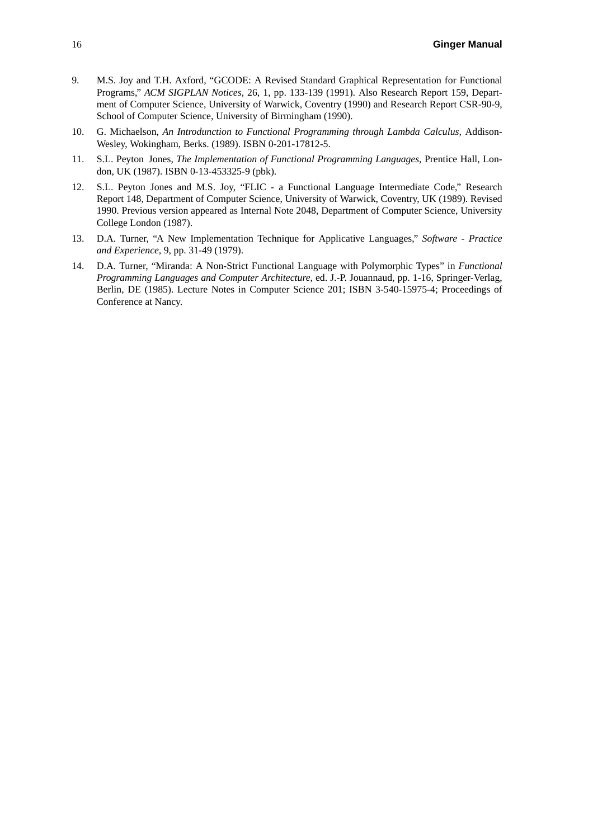- 9. M.S. Joy and T.H. Axford, "GCODE: A Revised Standard Graphical Representation for Functional Programs," *ACM SIGPLAN Notices,* 26, 1, pp. 133-139 (1991). Also Research Report 159, Department of Computer Science, University of Warwick, Coventry (1990) and Research Report CSR-90-9, School of Computer Science, University of Birmingham (1990).
- 10. G. Michaelson, *An Introdunction to Functional Programming through Lambda Calculus,* Addison-Wesley, Wokingham, Berks. (1989). ISBN 0-201-17812-5.
- 11. S.L. Peyton Jones, *The Implementation of Functional Programming Languages,* Prentice Hall, London, UK (1987). ISBN 0-13-453325-9 (pbk).
- 12. S.L. Peyton Jones and M.S. Joy, "FLIC a Functional Language Intermediate Code," Research Report 148, Department of Computer Science, University of Warwick, Coventry, UK (1989). Revised 1990. Previous version appeared as Internal Note 2048, Department of Computer Science, University College London (1987).
- 13. D.A. Turner, "A New Implementation Technique for Applicative Languages," *Software-Practice and Experience,* 9, pp. 31-49 (1979).
- 14. D.A. Turner, "Miranda: A Non-Strict Functional Language with Polymorphic Types" in *Functional Programming Languages and Computer Architecture,* ed. J.-P. Jouannaud, pp. 1-16, Springer-Verlag, Berlin, DE (1985). Lecture Notes in Computer Science 201; ISBN 3-540-15975-4; Proceedings of Conference at Nancy.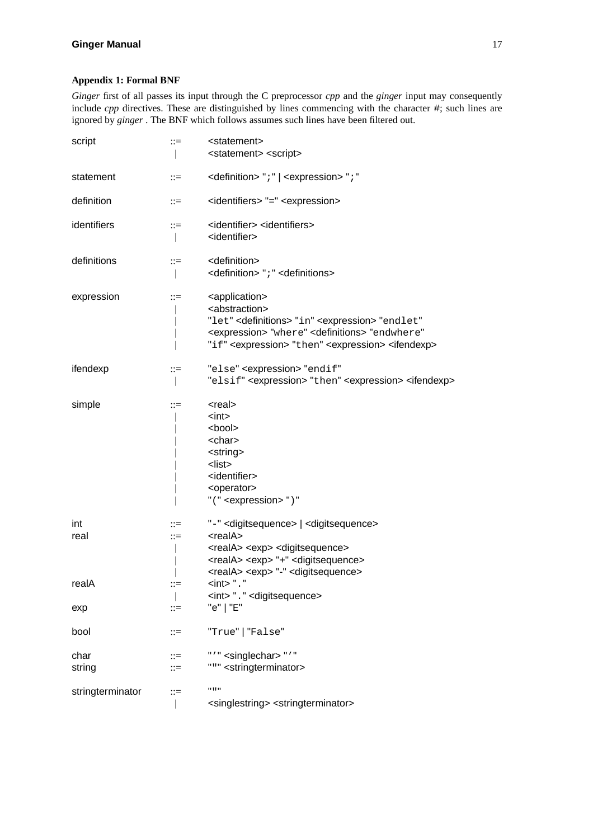# **Appendix 1: Formal BNF**

*Ginger* first of all passes its input through the C preprocessor *cpp* and the *ginger* input may consequently include *cpp* directives. These are distinguished by lines commencing with the character #; such lines are ignored by *ginger* . The BNF which follows assumes such lines have been filtered out.

| script | $::=$ | <statement><br/><statement> <script></script></statement></statement> |
|--------|-------|-----------------------------------------------------------------------|
|--------|-------|-----------------------------------------------------------------------|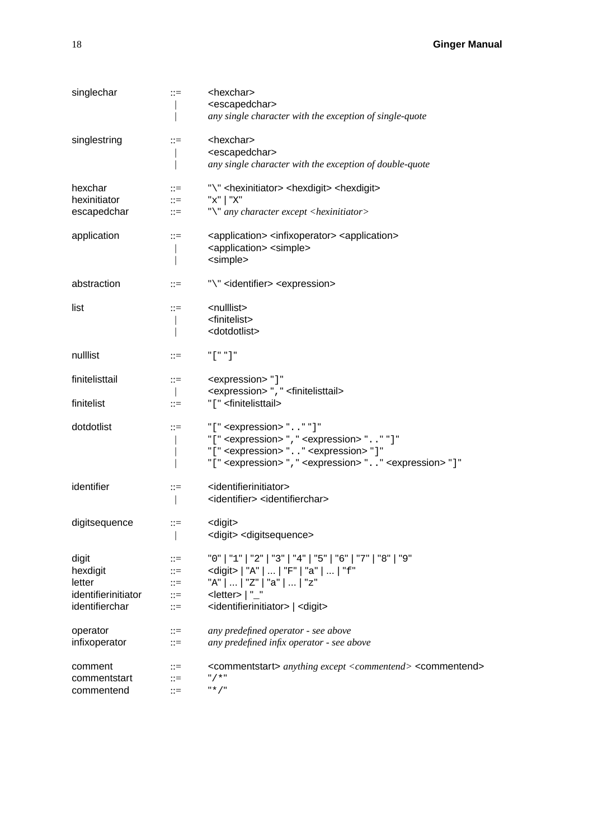| singlechar                                                           | $::=$                                                                  | <hexchar><br/><escapedchar><br/>any single character with the exception of single-quote</escapedchar></hexchar>                                                                                                                                                                              |
|----------------------------------------------------------------------|------------------------------------------------------------------------|----------------------------------------------------------------------------------------------------------------------------------------------------------------------------------------------------------------------------------------------------------------------------------------------|
| singlestring                                                         | $::=$                                                                  | <hexchar><br/><escapedchar><br/>any single character with the exception of double-quote</escapedchar></hexchar>                                                                                                                                                                              |
| hexchar<br>hexinitiator<br>escapedchar                               | $::=$<br>$\mathrel{\mathop:}=$<br>$\mathrel{\mathop:}=$                | "\" <hexinitiator> <hexdigit> <hexdigit><br/>"x"   "X"<br/>"\" any character except <hexinitiator></hexinitiator></hexdigit></hexdigit></hexinitiator>                                                                                                                                       |
| application                                                          | $::=$                                                                  | <application> <infixoperator> <application><br/><application> <simple><br/><simple></simple></simple></application></application></infixoperator></application>                                                                                                                              |
| abstraction                                                          | $::=$                                                                  | "\" <identifier> <expression></expression></identifier>                                                                                                                                                                                                                                      |
| list                                                                 | $::=$                                                                  | <nulllist><br/><finitelist><br/><dotdotlist></dotdotlist></finitelist></nulllist>                                                                                                                                                                                                            |
| nulllist                                                             | $::=$                                                                  | $"$ [" "]                                                                                                                                                                                                                                                                                    |
| finitelisttail                                                       | $\mathrel{\mathop:}=$                                                  | <expression>"]"<br/><expression> ", " <finitelisttail></finitelisttail></expression></expression>                                                                                                                                                                                            |
| finitelist                                                           | $::=$                                                                  | "[" <finitelisttail></finitelisttail>                                                                                                                                                                                                                                                        |
| dotdotlist                                                           | $::=$                                                                  | $"[' "expression" - " " " "$<br>"[" <expression> ", " <expression> ". . " "]"<br/>"[" <expression> ". . " <expression> "]"<br/>"[" <expression> ", " <expression> ". . " <expression> "]"</expression></expression></expression></expression></expression></expression></expression>         |
| identifier                                                           | $::=$                                                                  | <identifierinitiator><br/><identifier> <identifierchar></identifierchar></identifier></identifierinitiator>                                                                                                                                                                                  |
| digitsequence                                                        | $::=$                                                                  | <digit><br/><digit> <digitsequence></digitsequence></digit></digit>                                                                                                                                                                                                                          |
| digit<br>hexdigit<br>letter<br>identifierinitiator<br>identifierchar | ∷≕<br>$::=$<br>$\mathrel{\mathop:}=$<br>$\mathrel{\mathop:}=$<br>$::=$ | "0"   "1"   "2"   "3"   "4"   "5"   "6"   "7"   "8"   "9"<br><digit>   "A"      "F"   "a"      "f"<br/><math>"A"</math> <math>\ldots</math>   "z"   "a"      "z"<br/><math>&lt;</math>letter&gt;<math> </math> "_"<br/><identifierinitiator>   <digit></digit></identifierinitiator></digit> |
| operator<br>infixoperator                                            | $::=$<br>$::=$                                                         | any predefined operator - see above<br>any predefined infix operator - see above                                                                                                                                                                                                             |
| comment<br>commentstart<br>commentend                                | $::=$<br>$::=$<br>$::=$                                                | <commentstart> anything except <commentend> <commentend><br/><math>"</math>/ *<math>"</math><br/><math>"*/"</math></commentend></commentend></commentstart>                                                                                                                                  |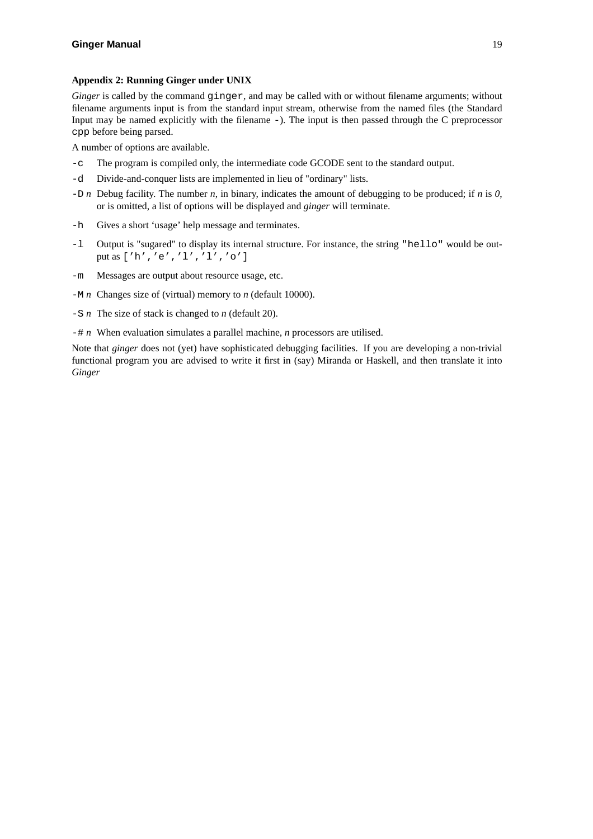### **Appendix 2: Running Ginger under UNIX**

*Ginger* is called by the command ginger, and may be called with or without filename arguments; without filename arguments input is from the standard input stream, otherwise from the named files (the Standard Input may be named explicitly with the filename -). The input is then passed through the C preprocessor cpp before being parsed.

A number of options are available.

- -c The program is compiled only, the intermediate code GCODE sent to the standard output.
- -d Divide-and-conquer lists are implemented in lieu of "ordinary" lists.
- -D *n* Debug facility. The number *n*, in binary, indicates the amount of debugging to be produced; if *n* is *0*, or is omitted, a list of options will be displayed and *ginger* will terminate.
- -h Gives a short 'usage' help message and terminates.
- -l Output is "sugared" to display its internal structure. For instance, the string "hello" would be output as ['h','e','l','l','o']
- -m Messages are output about resource usage, etc.
- -M *n* Changes size of (virtual) memory to *n* (default 10000).
- -S *n* The size of stack is changed to *n* (default 20).
- -# *n* When evaluation simulates a parallel machine, *n* processors are utilised.

Note that *ginger* does not (yet) have sophisticated debugging facilities. If you are developing a non-trivial functional program you are advised to write it first in (say) Miranda or Haskell, and then translate it into *Ginger*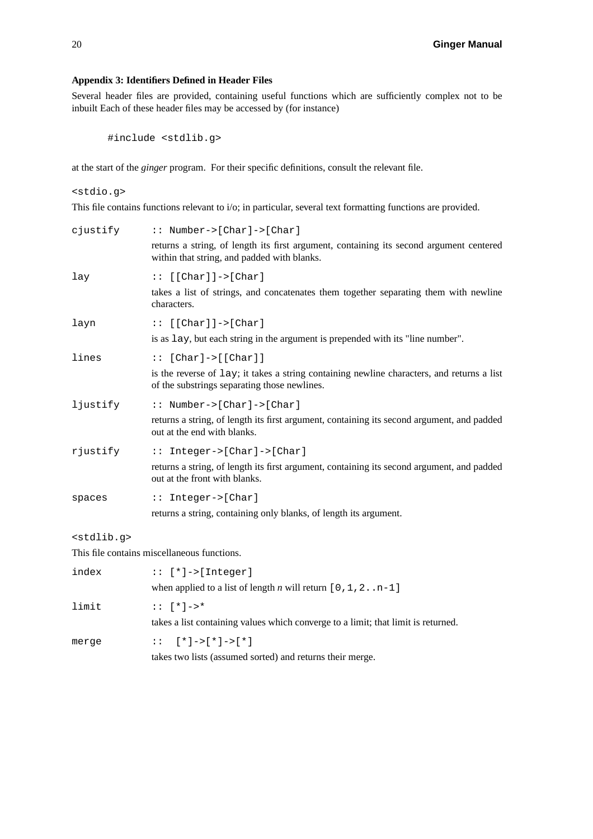### **Appendix 3: Identifiers Defined in Header Files**

Several header files are provided, containing useful functions which are sufficiently complex not to be inbuilt Each of these header files may be accessed by (for instance)

#include <stdlib.g>

at the start of the *ginger* program. For their specific definitions, consult the relevant file.

<stdio.g>

This file contains functions relevant to i/o; in particular, several text formatting functions are provided.

| cjustify              | $::$ Number->[Char]->[Char]                                                                                                                |
|-----------------------|--------------------------------------------------------------------------------------------------------------------------------------------|
|                       | returns a string, of length its first argument, containing its second argument centered<br>within that string, and padded with blanks.     |
| lay                   | $::$ [[Char]]->[Char]                                                                                                                      |
|                       | takes a list of strings, and concatenates them together separating them with newline<br>characters.                                        |
| layn                  | $:: [[Char]]->[Char]$                                                                                                                      |
|                       | is as lay, but each string in the argument is prepended with its "line number".                                                            |
| lines                 | $::$ [Char]->[[Char]]                                                                                                                      |
|                       | is the reverse of lay; it takes a string containing newline characters, and returns a list<br>of the substrings separating those newlines. |
| ljustify              | $::$ Number->[Char]->[Char]                                                                                                                |
|                       | returns a string, of length its first argument, containing its second argument, and padded<br>out at the end with blanks.                  |
| rjustify              | :: Integer->[Char]->[Char]                                                                                                                 |
|                       | returns a string, of length its first argument, containing its second argument, and padded<br>out at the front with blanks.                |
| spaces                | $::$ Integer->[Char]                                                                                                                       |
|                       | returns a string, containing only blanks, of length its argument.                                                                          |
| <stdlib.q></stdlib.q> |                                                                                                                                            |
|                       | This file contains miscellaneous functions.                                                                                                |
| index                 | $::$ [*]->[Integer]                                                                                                                        |
|                       | when applied to a list of length <i>n</i> will return $[0, 1, 2, n-1]$                                                                     |
| limit                 | $: : [ * ] -> *$                                                                                                                           |
|                       |                                                                                                                                            |

merge  $:: [ * ]->[ * ]->[ * ]$ 

takes a list containing values which converge to a limit; that limit is returned.

takes two lists (assumed sorted) and returns their merge.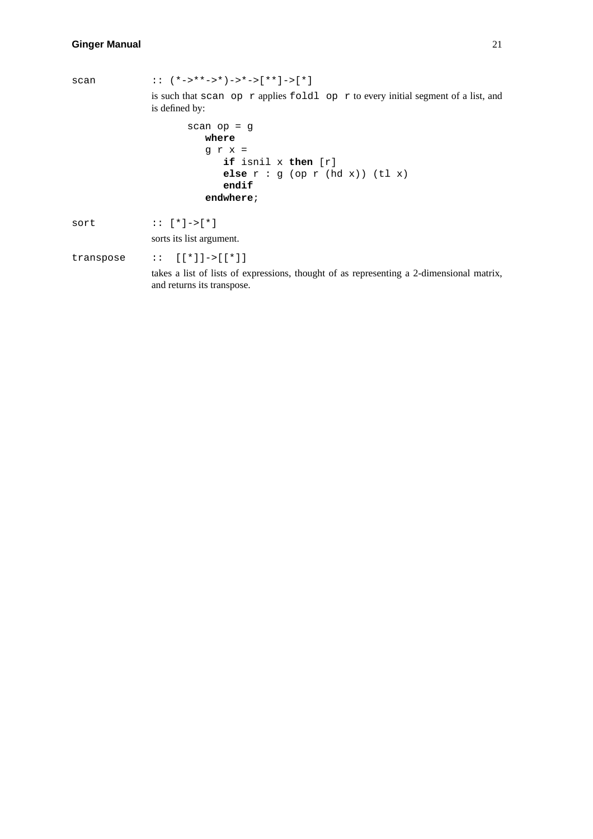scan ::  $(*->**->*)->*->[**]->[*)$ is such that scan op r applies foldl op r to every initial segment of a list, and is defined by: scan op = g **where** grx= **if** isnil x **then** [r] **else** r:g(op r (hd x)) (tl x) **endif endwhere**; sort :: [\*]->[\*] sorts its list argument. transpose :: [[\*]]->[[\*]] takes a list of lists of expressions, thought of as representing a 2-dimensional matrix, and returns its transpose.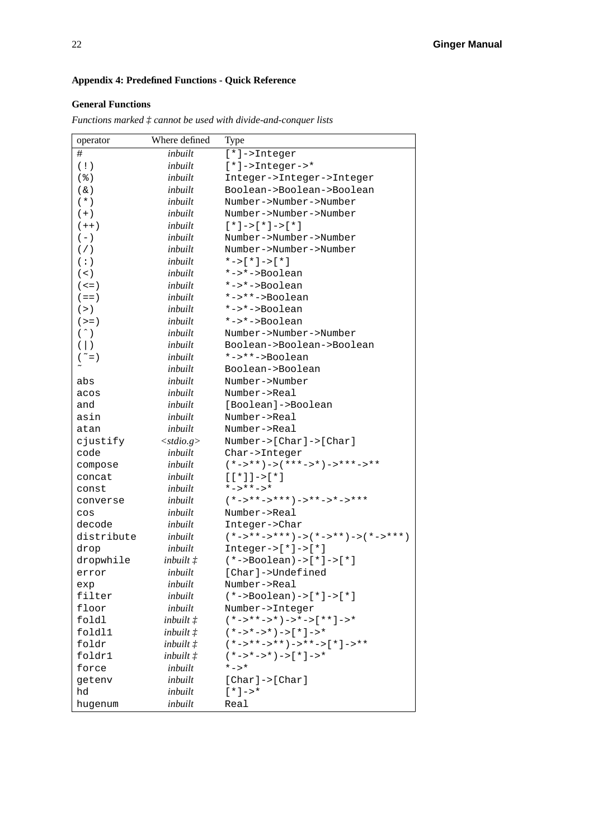# **Appendix 4: Predefined Functions - Quick Reference**

# **General Functions**

*Functions marked ‡ cannot be used with divide-and-conquer lists*

| operator                | Where defined      | Type                                                     |
|-------------------------|--------------------|----------------------------------------------------------|
| #                       | inbuilt            | $[*] \rightarrow$ Integer                                |
| (1)                     | inbuilt            | $[*]$ ->Integer->*                                       |
| $($ $)$                 | inbuilt            | Integer->Integer->Integer                                |
| $(\&)$                  | inbuilt            | Boolean->Boolean->Boolean                                |
| $(* )$                  | inbuilt            | Number->Number->Number                                   |
| $(+)$                   | inbuilt            | Number->Number->Number                                   |
| $(++)$                  | inbuilt            | $[*] -> [*] -> [*]$                                      |
| $(-)$                   | inbuilt            | Number->Number->Number                                   |
| ( / )                   | inbuilt            | Number->Number->Number                                   |
| (:)                     | inbuilt            | *->[*]->[*]                                              |
| $($ < $)$               | inbuilt            | $*->*->$ Boolean                                         |
| $($ < = $)$             | inbuilt            | *->*->Boolean                                            |
| $( == )$                | inbuilt            | $*->**->Boolean$                                         |
| (>)                     | inbuilt            | *->*->Boolean                                            |
| $(>=)$                  | inbuilt            | *->*->Boolean                                            |
| $( \hat{ } )$           | inbuilt            | Number->Number->Number                                   |
| $(\vert)$               | inbuilt            | Boolean->Boolean->Boolean                                |
| $(\tilde{\phantom{a}})$ | inbuilt            | $*->**->Boolean$                                         |
| $\sim$                  | inbuilt            | Boolean->Boolean                                         |
| abs                     | inbuilt            | Number->Number                                           |
|                         | inbuilt            | Number->Real                                             |
| acos                    | inbuilt            |                                                          |
| and                     |                    | [Boolean]->Boolean                                       |
| asin                    | inbuilt            | Number->Real                                             |
| atan                    | inbuilt            | Number->Real                                             |
| cjustify                | $<$ stdio.g>       | Number-> $[Char]$ -> $[Char]$                            |
| code                    | inbuilt            | Char->Integer                                            |
| compose                 | inbuilt            | $(*->**)->(***--*)-`-***->**$                            |
| concat                  | inbuilt            | $[ [ * ] ] - > [ * ]$                                    |
| const                   | inbuilt            | $* - > * * - > *$                                        |
| converse                | inbuilt            | $(*->**->***)--**-->*-->***$                             |
| $\cos$                  | inbuilt            | Number->Real                                             |
| decode                  | inbuilt            | Integer->Char                                            |
| distribute              | inbuilt            | $(*-> * * - > * * * ) -> (* - > * * ) -> (* - > * * * )$ |
| drop                    | inbuilt            | $Integer->['*] -> ['*]$                                  |
| dropwhile               | inbuilt $f$        | $(* -> Boolean) ->[*] ->[*]$                             |
| error                   | inbuilt            | [Char]->Undefined                                        |
| exp                     | inbuilt            | Number->Real                                             |
| filter                  | inbuilt            | $(*->Boolean) ->[*] ->[*]$                               |
| floor                   | inbuilt            | Number->Integer                                          |
| foldl                   | inbuilt $\ddagger$ | $(*-> * *-> *')-> *->*"-> *'] -> *$                      |
| fold11                  | inbuilt $\ddagger$ | $(*->*->*)->[*]->*$                                      |
| foldr                   | inbuilt $\ddagger$ | $(*->**->**")->**->(*]->**$                              |
| foldr1                  | inbuilt $\ddagger$ | $(*->*->*)->[*]->*$                                      |
| force                   | inbuilt            | $* - > *$                                                |
| qetenv                  | inbuilt            | $[Char] \rightarrow [Char]$                              |
| hd                      | inbuilt            | $[\star]$ ->*                                            |
| hugenum                 | inbuilt            | Real                                                     |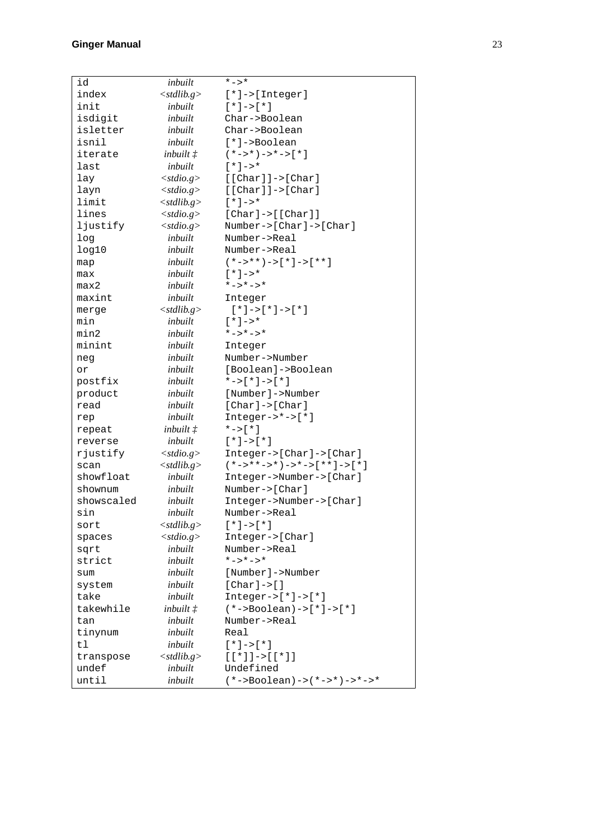| id         | inbuilt            | *->*                                       |
|------------|--------------------|--------------------------------------------|
| index      | $<$ stdlib.g>      | $[*] \rightarrow [Interger]$               |
| init       | inbuilt            | $\lceil * \rceil - \gt  \rceil * \rceil$   |
| isdigit    | inbuilt            | Char->Boolean                              |
| isletter   | inbuilt            | Char->Boolean                              |
| isnil      | inbuilt            | $[*] \rightarrow$ Boolean                  |
| iterate    | inbuilt $\ddagger$ | $(*->*)->*->[*]$                           |
| last       | inbuilt            | $[\star]$ ->*                              |
| lay        | $<$ stdio.g>       | $[$ [Char]] -> [Char]                      |
| layn       | $<$ stdio.g>       | $[$ [Char]] -> [Char]                      |
| limit      | $<$ stdlib.g>      | $[*] -> *$                                 |
| lines      | $<$ stdio.g>       | $[Char]$ -> $[Char]$                       |
| ljustify   | $<$ stdio.g>       | Number-> $[Char]$ -> $[Char]$              |
| log        | inbuilt            | Number->Real                               |
| log10      | inbuilt            | Number->Real                               |
| map        | inbuilt            | $(*->**)->[*]->[**-1]$                     |
| max        | inbuilt            | $[\star]$ ->*                              |
| max2       | inbuilt            | $* - > * - > *$                            |
| maxint     | inbuilt            | Integer                                    |
| merge      | $<$ stdlib.g>      | $[*] -> [*] -> [*]$                        |
| min        | inbuilt            | $[\star]$ ->*                              |
| min2       | inbuilt            | *->*->*                                    |
| minint     | inbuilt            | Integer                                    |
|            | inbuilt            | Number->Number                             |
| neg<br>or  | inbuilt            | [Boolean]->Boolean                         |
| postfix    | inbuilt            | $*->[*]->[*]$                              |
| product    | inbuilt            | [Number]->Number                           |
| read       | inbuilt            | $[Char] \rightarrow [Char]$                |
|            | inbuilt            | $Integer->*->[*]$                          |
| rep        |                    | $*->[*]$                                   |
| repeat     | inbuilt $\ddagger$ |                                            |
| reverse    | inbuilt            | $[*] - >[*]$                               |
| rjustify   | $<$ stdio.g>       | Integer->[Char]->[Char]                    |
| scan       | $<$ stdlib.g>      | $(*-> * * -> * ) -> * -> [ * * ] -> [ * ]$ |
| showfloat  | inbuilt            | Integer->Number->[Char]                    |
| shownum    | inbuilt            | $Number->[Char]$                           |
| showscaled | inbuilt            | Integer->Number->[Char]                    |
| sin        | inbuilt            | Number->Real                               |
| sort       | $<$ stdlib.g>      | $[*] \rightarrow [*]$                      |
| spaces     | $<$ stdio.g $>$    | $Integer->[Char]$                          |
| sqrt       | inbuilt            | Number->Real                               |
| strict     | inbuilt            | $* - > * - > *$                            |
| sum        | inbuilt            | [Number]->Number                           |
| system     | inbuilt            | [ $char$ ] ->[]                            |
| take       | inbuilt            | $Integer->['']->['']$                      |
| takewhile  | inbuilt $\ddagger$ | $(*->Boolean) ->[*] ->[*]$                 |
| tan        | inbuilt            | Number->Real                               |
| tinynum    | inbuilt            | Real                                       |
| tl         | inbuilt            | $[*] \rightarrow [*]$                      |
| transpose  | $<$ stdlib.g>      | $[ [ * ] ] -> [ [ * ] ]$                   |
| undef      | inbuilt            | Undefined                                  |
| until      | inbuilt            | $(*->Boolean) -> (*->*) -> *->*$           |